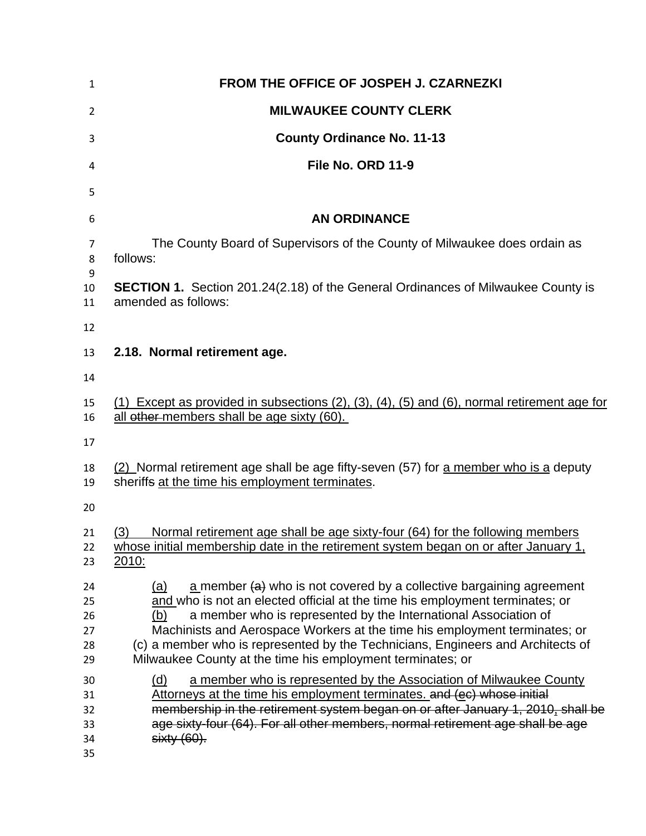| $\mathbf{1}$                     | FROM THE OFFICE OF JOSPEH J. CZARNEZKI                                                                                                                                                                                                                                                                                                                                                                                                                                 |  |  |
|----------------------------------|------------------------------------------------------------------------------------------------------------------------------------------------------------------------------------------------------------------------------------------------------------------------------------------------------------------------------------------------------------------------------------------------------------------------------------------------------------------------|--|--|
| $\overline{2}$                   | <b>MILWAUKEE COUNTY CLERK</b>                                                                                                                                                                                                                                                                                                                                                                                                                                          |  |  |
| 3                                | <b>County Ordinance No. 11-13</b>                                                                                                                                                                                                                                                                                                                                                                                                                                      |  |  |
| 4                                | File No. ORD 11-9                                                                                                                                                                                                                                                                                                                                                                                                                                                      |  |  |
| 5                                |                                                                                                                                                                                                                                                                                                                                                                                                                                                                        |  |  |
| 6                                | <b>AN ORDINANCE</b>                                                                                                                                                                                                                                                                                                                                                                                                                                                    |  |  |
| $\overline{7}$<br>8<br>9         | The County Board of Supervisors of the County of Milwaukee does ordain as<br>follows:                                                                                                                                                                                                                                                                                                                                                                                  |  |  |
| 10<br>11                         | <b>SECTION 1.</b> Section 201.24(2.18) of the General Ordinances of Milwaukee County is<br>amended as follows:                                                                                                                                                                                                                                                                                                                                                         |  |  |
| 12                               |                                                                                                                                                                                                                                                                                                                                                                                                                                                                        |  |  |
| 13                               | 2.18. Normal retirement age.                                                                                                                                                                                                                                                                                                                                                                                                                                           |  |  |
| 14                               |                                                                                                                                                                                                                                                                                                                                                                                                                                                                        |  |  |
| 15<br>16                         | $(1)$ Except as provided in subsections $(2)$ , $(3)$ , $(4)$ , $(5)$ and $(6)$ , normal retirement age for<br>all other members shall be age sixty (60).                                                                                                                                                                                                                                                                                                              |  |  |
| 17                               |                                                                                                                                                                                                                                                                                                                                                                                                                                                                        |  |  |
| 18<br>19                         | (2) Normal retirement age shall be age fifty-seven (57) for a member who is a deputy<br>sheriffs at the time his employment terminates.                                                                                                                                                                                                                                                                                                                                |  |  |
| 20                               |                                                                                                                                                                                                                                                                                                                                                                                                                                                                        |  |  |
| 21<br>22<br>23                   | Normal retirement age shall be age sixty-four (64) for the following members<br>(3)<br>whose initial membership date in the retirement system began on or after January 1,<br>2010:                                                                                                                                                                                                                                                                                    |  |  |
| 24<br>25<br>26<br>27<br>28<br>29 | a member $(a)$ who is not covered by a collective bargaining agreement<br>(a)<br>and who is not an elected official at the time his employment terminates; or<br>a member who is represented by the International Association of<br>(b)<br>Machinists and Aerospace Workers at the time his employment terminates; or<br>(c) a member who is represented by the Technicians, Engineers and Architects of<br>Milwaukee County at the time his employment terminates; or |  |  |
| 30<br>31<br>32<br>33<br>34<br>35 | (d)<br>a member who is represented by the Association of Milwaukee County<br>Attorneys at the time his employment terminates, and (ec) whose initial<br>membership in the retirement system began on or after January 1, 2010, shall be<br>age sixty-four (64). For all other members, normal retirement age shall be age<br>$sixty(60)$ .                                                                                                                             |  |  |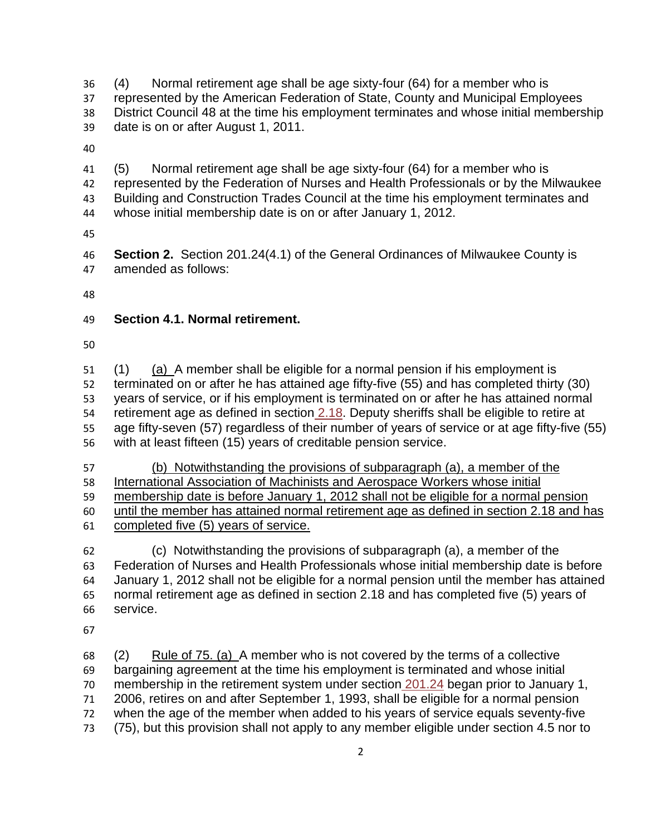36 37 38 39 (4) Normal retirement age shall be age sixty-four (64) for a member who is represented by the American Federation of State, County and Municipal Employees District Council 48 at the time his employment terminates and whose initial membership date is on or after August 1, 2011.

40

41 42 (5) Normal retirement age shall be age sixty-four (64) for a member who is represented by the Federation of Nurses and Health Professionals or by the Milwaukee

- 43 Building and Construction Trades Council at the time his employment terminates and
- 44 whose initial membership date is on or after January 1, 2012.
- 45

46 47 **Section 2.** Section 201.24(4.1) of the General Ordinances of Milwaukee County is amended as follows:

48

## 49 **Section 4.1. Normal retirement.**

50

(1) (a) A member shall be eligible for a normal pension if his employment is terminated on or after he has attained age fifty-five (55) and has completed thirty (30) years of service, or if his employment is terminated on or after he has attained normal retirement age as defined in section [2.18.](http://library.municode.com/HTML/12598/level3/MICOCOGEORVOI_CH201COEMRESY_SIIDE.html#MICOCOGEORVOI_CH201COEMRESY_SIIDE_2.18NOREAG) Deputy sheriffs shall be eligible to retire at 51 52 53 age fifty-seven (57) regardless of their number of years of service or at age fifty-five (55) with at least fifteen (15) years of creditable pension service. 54 55 56

 (b) Notwithstanding the provisions of subparagraph (a), a member of the International Association of Machinists and Aerospace Workers whose initial membership date is before January 1, 2012 shall not be eligible for a normal pension until the member has attained normal retirement age as defined in section 2.18 and has completed five (5) years of service.

62 63 64 65 66 (c) Notwithstanding the provisions of subparagraph (a), a member of the Federation of Nurses and Health Professionals whose initial membership date is before January 1, 2012 shall not be eligible for a normal pension until the member has attained normal retirement age as defined in section 2.18 and has completed five (5) years of service.

67

 $(2)$  Rule of 75. (a) A member who is not covered by the terms of a collective bargaining agreement at the time his employment is terminated and whose initial membership in the retirement system under section [201.24](http://library.municode.com/HTML/12598/level2/MICOCOGEORVOI_CH201COEMRESY.html#MICOCOGEORVOI_CH201COEMRESY_201.24EMRESYCOEFDE241967) began prior to January 1, 68 69 2006, retires on and after September 1, 1993, shall be eligible for a normal pension when the age of the member when added to his years of service equals seventy-five (75), but this provision shall not apply to any member eligible under section 4.5 nor to 70 71 72 73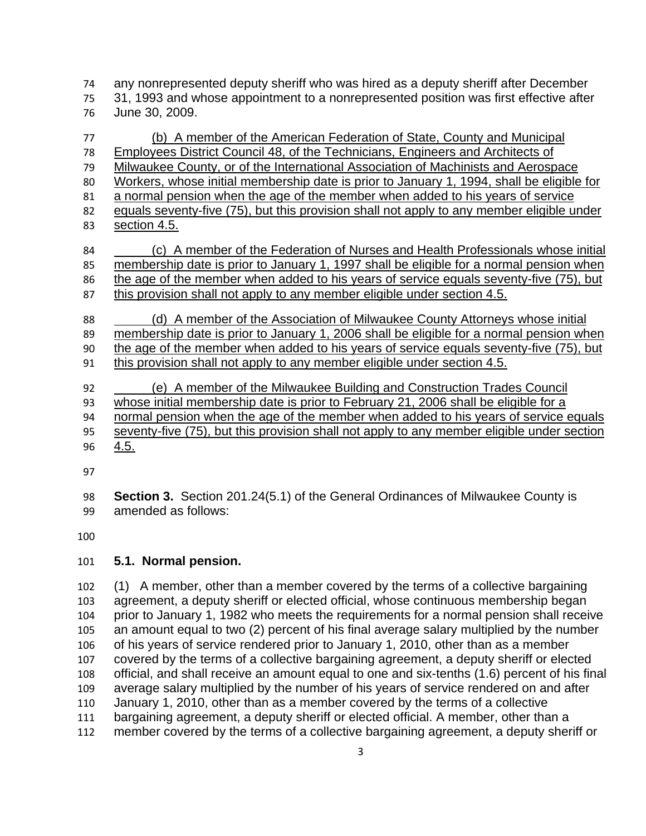any nonrepresented deputy sheriff who was hired as a deputy sheriff after December 31, 1993 and whose appointment to a nonrepresented position was first effective after June 30, 2009.

 (b) A member of the American Federation of State, County and Municipal Employees District Council 48, of the Technicians, Engineers and Architects of Milwaukee County, or of the International Association of Machinists and Aerospace Workers, whose initial membership date is prior to January 1, 1994, shall be eligible for a normal pension when the age of the member when added to his years of service equals seventy-five (75), but this provision shall not apply to any member eligible under section 4.5. (c) A member of the Federation of Nurses and Health Professionals whose initial membership date is prior to January 1, 1997 shall be eligible for a normal pension when the age of the member when added to his years of service equals seventy-five (75), but this provision shall not apply to any member eligible under section 4.5. (d) A member of the Association of Milwaukee County Attorneys whose initial membership date is prior to January 1, 2006 shall be eligible for a normal pension when the age of the member when added to his years of service equals seventy-five (75), but this provision shall not apply to any member eligible under section 4.5. (e) A member of the Milwaukee Building and Construction Trades Council whose initial membership date is prior to February 21, 2006 shall be eligible for a

- normal pension when the age of the member when added to his years of service equals
- seventy-five (75), but this provision shall not apply to any member eligible under section 96 4.5.
- 
- 

 **Section 3.** Section 201.24(5.1) of the General Ordinances of Milwaukee County is amended as follows:

## **5.1. Normal pension.**

 (1) A member, other than a member covered by the terms of a collective bargaining agreement, a deputy sheriff or elected official, whose continuous membership began prior to January 1, 1982 who meets the requirements for a normal pension shall receive an amount equal to two (2) percent of his final average salary multiplied by the number of his years of service rendered prior to January 1, 2010, other than as a member covered by the terms of a collective bargaining agreement, a deputy sheriff or elected official, and shall receive an amount equal to one and six-tenths (1.6) percent of his final average salary multiplied by the number of his years of service rendered on and after January 1, 2010, other than as a member covered by the terms of a collective bargaining agreement, a deputy sheriff or elected official. A member, other than a member covered by the terms of a collective bargaining agreement, a deputy sheriff or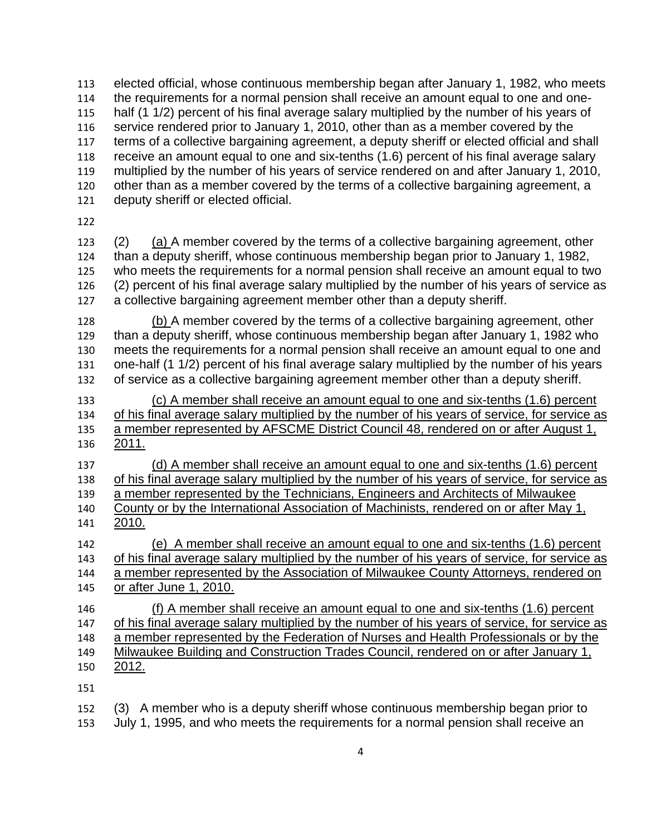elected official, whose continuous membership began after January 1, 1982, who meets the requirements for a normal pension shall receive an amount equal to one and onehalf (1 1/2) percent of his final average salary multiplied by the number of his years of service rendered prior to January 1, 2010, other than as a member covered by the terms of a collective bargaining agreement, a deputy sheriff or elected official and shall receive an amount equal to one and six-tenths (1.6) percent of his final average salary multiplied by the number of his years of service rendered on and after January 1, 2010, other than as a member covered by the terms of a collective bargaining agreement, a deputy sheriff or elected official.

(2) (a) A member covered by the terms of a collective bargaining agreement, other than a deputy sheriff, whose continuous membership began prior to January 1, 1982, who meets the requirements for a normal pension shall receive an amount equal to two (2) percent of his final average salary multiplied by the number of his years of service as a collective bargaining agreement member other than a deputy sheriff. 

(b) A member covered by the terms of a collective bargaining agreement, other than a deputy sheriff, whose continuous membership began after January 1, 1982 who meets the requirements for a normal pension shall receive an amount equal to one and one-half (1 1/2) percent of his final average salary multiplied by the number of his years of service as a collective bargaining agreement member other than a deputy sheriff. 

 (c) A member shall receive an amount equal to one and six-tenths (1.6) percent of his final average salary multiplied by the number of his years of service, for service as a member represented by AFSCME District Council 48, rendered on or after August 1, 2011.

 (d) A member shall receive an amount equal to one and six-tenths (1.6) percent of his final average salary multiplied by the number of his years of service, for service as a member represented by the Technicians, Engineers and Architects of Milwaukee

 County or by the International Association of Machinists, rendered on or after May 1, 2010.

 (e) A member shall receive an amount equal to one and six-tenths (1.6) percent of his final average salary multiplied by the number of his years of service, for service as a member represented by the Association of Milwaukee County Attorneys, rendered on or after June 1, 2010.

 (f) A member shall receive an amount equal to one and six-tenths (1.6) percent of his final average salary multiplied by the number of his years of service, for service as a member represented by the Federation of Nurses and Health Professionals or by the Milwaukee Building and Construction Trades Council, rendered on or after January 1, 150 2012.

 (3) A member who is a deputy sheriff whose continuous membership began prior to

 July 1, 1995, and who meets the requirements for a normal pension shall receive an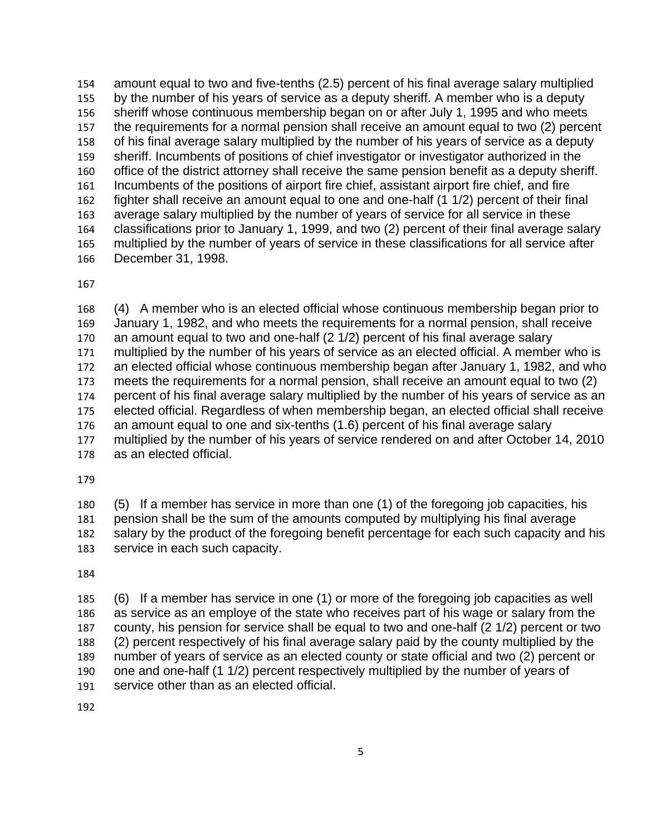154 155 156 157 158 159 160 161 162 163 164 165 166 amount equal to two and five-tenths (2.5) percent of his final average salary multiplied by the number of his years of service as a deputy sheriff. A member who is a deputy sheriff whose continuous membership began on or after July 1, 1995 and who meets the requirements for a normal pension shall receive an amount equal to two (2) percent of his final average salary multiplied by the number of his years of service as a deputy sheriff. Incumbents of positions of chief investigator or investigator authorized in the office of the district attorney shall receive the same pension benefit as a deputy sheriff. Incumbents of the positions of airport fire chief, assistant airport fire chief, and fire fighter shall receive an amount equal to one and one-half (1 1/2) percent of their final average salary multiplied by the number of years of service for all service in these classifications prior to January 1, 1999, and two (2) percent of their final average salary multiplied by the number of years of service in these classifications for all service after December 31, 1998.

167

168 169 170 171 172 173 174 175 176 177 178 (4) A member who is an elected official whose continuous membership began prior to January 1, 1982, and who meets the requirements for a normal pension, shall receive an amount equal to two and one-half (2 1/2) percent of his final average salary multiplied by the number of his years of service as an elected official. A member who is an elected official whose continuous membership began after January 1, 1982, and who meets the requirements for a normal pension, shall receive an amount equal to two (2) percent of his final average salary multiplied by the number of his years of service as an elected official. Regardless of when membership began, an elected official shall receive an amount equal to one and six-tenths (1.6) percent of his final average salary multiplied by the number of his years of service rendered on and after October 14, 2010 as an elected official.

179

180 181 182 183 (5) If a member has service in more than one (1) of the foregoing job capacities, his pension shall be the sum of the amounts computed by multiplying his final average salary by the product of the foregoing benefit percentage for each such capacity and his service in each such capacity.

184

185 186 187 188 189 190 191 (6) If a member has service in one (1) or more of the foregoing job capacities as well as service as an employe of the state who receives part of his wage or salary from the county, his pension for service shall be equal to two and one-half (2 1/2) percent or two (2) percent respectively of his final average salary paid by the county multiplied by the number of years of service as an elected county or state official and two (2) percent or one and one-half (1 1/2) percent respectively multiplied by the number of years of service other than as an elected official.

192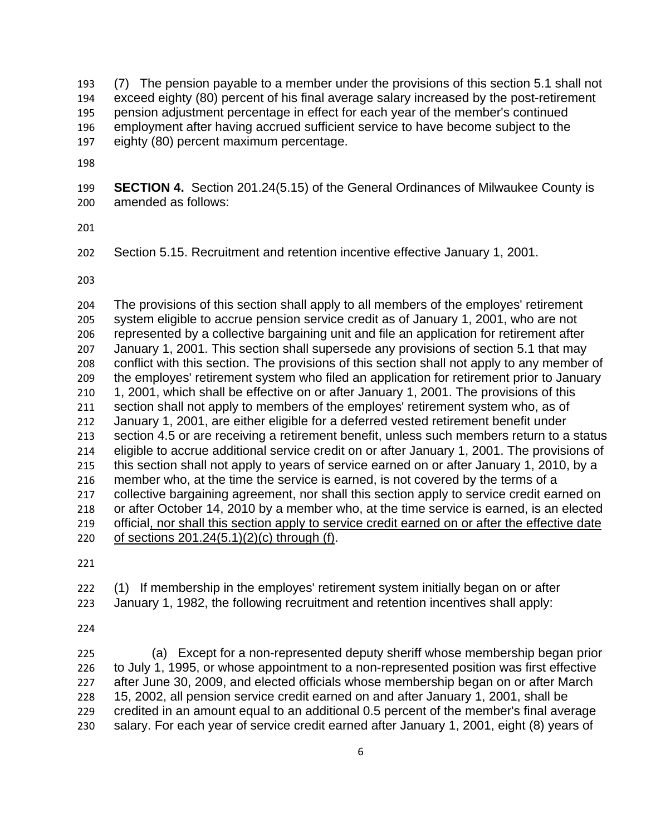193 194 195 196 197 (7) The pension payable to a member under the provisions of this section 5.1 shall not exceed eighty (80) percent of his final average salary increased by the post-retirement pension adjustment percentage in effect for each year of the member's continued employment after having accrued sufficient service to have become subject to the eighty (80) percent maximum percentage.

198

199 200 **SECTION 4.** Section 201.24(5.15) of the General Ordinances of Milwaukee County is amended as follows:

201

202 Section 5.15. Recruitment and retention incentive effective January 1, 2001.

203

204 205 206 207 208 209 210 211 212 213 214 215 216 217 218 The provisions of this section shall apply to all members of the employes' retirement system eligible to accrue pension service credit as of January 1, 2001, who are not represented by a collective bargaining unit and file an application for retirement after January 1, 2001. This section shall supersede any provisions of section 5.1 that may conflict with this section. The provisions of this section shall not apply to any member of the employes' retirement system who filed an application for retirement prior to January 1, 2001, which shall be effective on or after January 1, 2001. The provisions of this section shall not apply to members of the employes' retirement system who, as of January 1, 2001, are either eligible for a deferred vested retirement benefit under section 4.5 or are receiving a retirement benefit, unless such members return to a status eligible to accrue additional service credit on or after January 1, 2001. The provisions of this section shall not apply to years of service earned on or after January 1, 2010, by a member who, at the time the service is earned, is not covered by the terms of a collective bargaining agreement, nor shall this section apply to service credit earned on or after October 14, 2010 by a member who, at the time service is earned, is an elected 219 official, nor shall this section apply to service credit earned on or after the effective date 220 of sections 201.24(5.1)(2)(c) through (f).

221

222 (1) If membership in the employes' retirement system initially began on or after

223 January 1, 1982, the following recruitment and retention incentives shall apply:

224

225 226 227 228 229 230 (a) Except for a non-represented deputy sheriff whose membership began prior to July 1, 1995, or whose appointment to a non-represented position was first effective after June 30, 2009, and elected officials whose membership began on or after March 15, 2002, all pension service credit earned on and after January 1, 2001, shall be credited in an amount equal to an additional 0.5 percent of the member's final average salary. For each year of service credit earned after January 1, 2001, eight (8) years of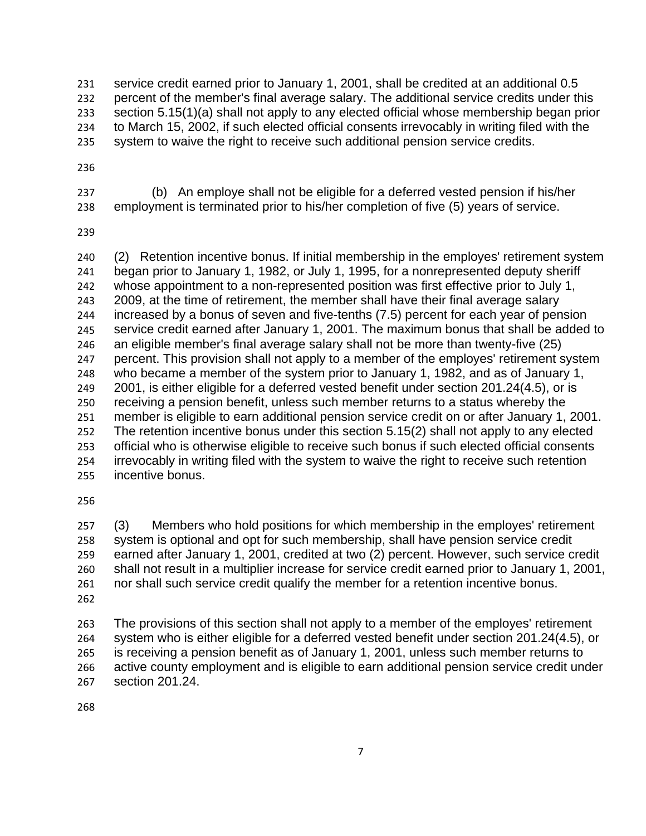231 232 233 234 235 service credit earned prior to January 1, 2001, shall be credited at an additional 0.5 percent of the member's final average salary. The additional service credits under this section 5.15(1)(a) shall not apply to any elected official whose membership began prior to March 15, 2002, if such elected official consents irrevocably in writing filed with the system to waive the right to receive such additional pension service credits.

236

237 238 (b) An employe shall not be eligible for a deferred vested pension if his/her employment is terminated prior to his/her completion of five (5) years of service.

239

240 241 242 243 244 245 246 247 248 249 250 251 252 253 254 255 (2) Retention incentive bonus. If initial membership in the employes' retirement system began prior to January 1, 1982, or July 1, 1995, for a nonrepresented deputy sheriff whose appointment to a non-represented position was first effective prior to July 1, 2009, at the time of retirement, the member shall have their final average salary increased by a bonus of seven and five-tenths (7.5) percent for each year of pension service credit earned after January 1, 2001. The maximum bonus that shall be added to an eligible member's final average salary shall not be more than twenty-five (25) percent. This provision shall not apply to a member of the employes' retirement system who became a member of the system prior to January 1, 1982, and as of January 1, 2001, is either eligible for a deferred vested benefit under section 201.24(4.5), or is receiving a pension benefit, unless such member returns to a status whereby the member is eligible to earn additional pension service credit on or after January 1, 2001. The retention incentive bonus under this section 5.15(2) shall not apply to any elected official who is otherwise eligible to receive such bonus if such elected official consents irrevocably in writing filed with the system to waive the right to receive such retention incentive bonus.

256

262 (3) Members who hold positions for which membership in the employes' retirement system is optional and opt for such membership, shall have pension service credit earned after January 1, 2001, credited at two (2) percent. However, such service credit shall not result in a multiplier increase for service credit earned prior to January 1, 2001, nor shall such service credit qualify the member for a retention incentive bonus.

263 264 265 266 267 The provisions of this section shall not apply to a member of the employes' retirement system who is either eligible for a deferred vested benefit under section 201.24(4.5), or is receiving a pension benefit as of January 1, 2001, unless such member returns to active county employment and is eligible to earn additional pension service credit under section 201.24.

268